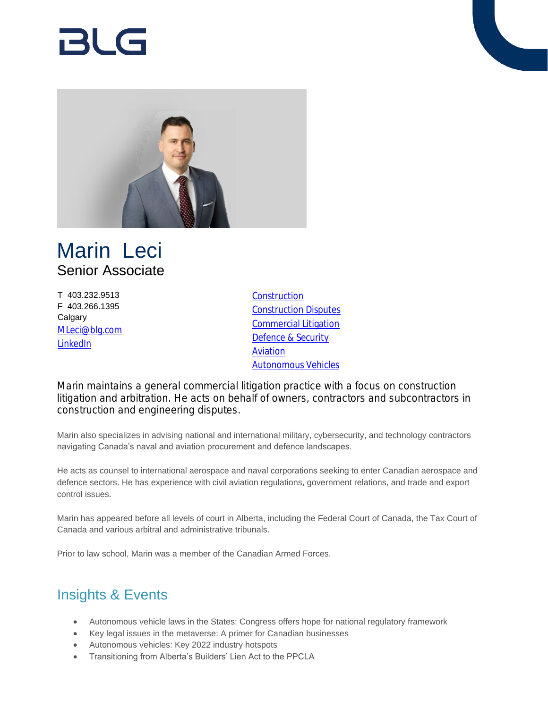# RI G



# Marin Leci Senior Associate

T 403.232.9513 F 403.266.1395 **Calgary** [MLeci@blg.com](mailto:MLeci@blg.com) [LinkedIn](https://ca.linkedin.com/in/marin-leci-84164293)

**[Construction](https://www.blg.com/en/services/practice-areas/construction)** [Construction Disputes](https://www.blg.com/en/services/practice-areas/disputes/construction-disputes) [Commercial Litigation](https://www.blg.com/en/services/practice-areas/disputes/commercial-litigation) [Defence & Security](https://www.blg.com/en/services/industries/government-,-a-,-public-sector/defence-security) [Aviation](https://www.blg.com/en/services/industries/transportation/aviation) [Autonomous Vehicles](https://www.blg.com/en/services/industries/transportation/autonomous-vehicles)

Marin maintains a general commercial litigation practice with a focus on construction litigation and arbitration. He acts on behalf of owners, contractors and subcontractors in construction and engineering disputes.

Marin also specializes in advising national and international military, cybersecurity, and technology contractors navigating Canada's naval and aviation procurement and defence landscapes.

He acts as counsel to international aerospace and naval corporations seeking to enter Canadian aerospace and defence sectors. He has experience with civil aviation regulations, government relations, and trade and export control issues.

Marin has appeared before all levels of court in Alberta, including the Federal Court of Canada, the Tax Court of Canada and various arbitral and administrative tribunals.

Prior to law school, Marin was a member of the Canadian Armed Forces.

# Insights & Events

- Autonomous vehicle laws in the States: Congress offers hope for national regulatory framework
- Key legal issues in the metaverse: A primer for Canadian businesses
- Autonomous vehicles: Key 2022 industry hotspots
- Transitioning from Alberta's Builders' Lien Act to the PPCLA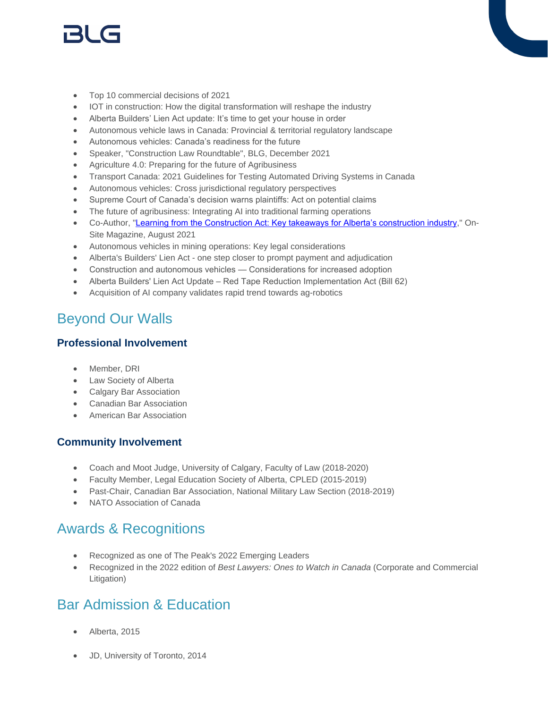# r3l G

- Top 10 commercial decisions of 2021
- IOT in construction: How the digital transformation will reshape the industry
- Alberta Builders' Lien Act update: It's time to get your house in order
- Autonomous vehicle laws in Canada: Provincial & territorial regulatory landscape
- Autonomous vehicles: Canada's readiness for the future
- Speaker, "Construction Law Roundtable", BLG, December 2021
- Agriculture 4.0: Preparing for the future of Agribusiness
- Transport Canada: 2021 Guidelines for Testing Automated Driving Systems in Canada
- Autonomous vehicles: Cross jurisdictional regulatory perspectives
- Supreme Court of Canada's decision warns plaintiffs: Act on potential claims
- The future of agribusiness: Integrating AI into traditional farming operations
- Co-Author, "[Learning from the Construction Act: Key takeaways for Alberta's construction industry](https://www.on-sitemag.com/features/learning-from-the-construction-act-key-takeaways-for-albertas-construction-industry/)," On-Site Magazine, August 2021
- Autonomous vehicles in mining operations: Key legal considerations
- Alberta's Builders' Lien Act one step closer to prompt payment and adjudication
- Construction and autonomous vehicles Considerations for increased adoption
- Alberta Builders' Lien Act Update Red Tape Reduction Implementation Act (Bill 62)
- Acquisition of AI company validates rapid trend towards ag-robotics

# Beyond Our Walls

#### **Professional Involvement**

- Member, DRI
- Law Society of Alberta
- Calgary Bar Association
- Canadian Bar Association
- **•** American Bar Association

#### **Community Involvement**

- Coach and Moot Judge, University of Calgary, Faculty of Law (2018-2020)
- Faculty Member, Legal Education Society of Alberta, CPLED (2015-2019)
- Past-Chair, Canadian Bar Association, National Military Law Section (2018-2019)
- NATO Association of Canada

## Awards & Recognitions

- Recognized as one of The Peak's 2022 Emerging Leaders
- Recognized in the 2022 edition of *Best Lawyers: Ones to Watch in Canada* (Corporate and Commercial Litigation)

### Bar Admission & Education

- Alberta, 2015
- JD, University of Toronto, 2014